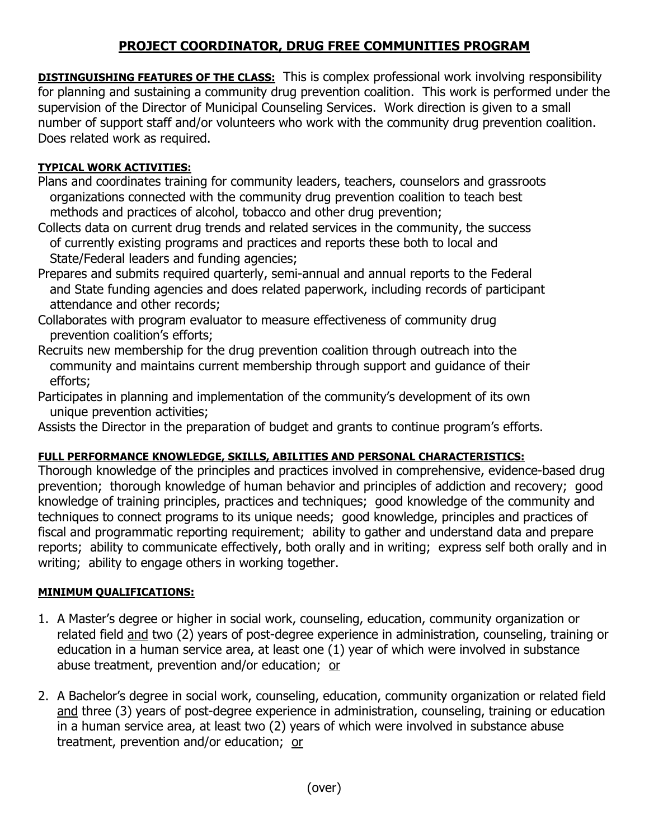## **PROJECT COORDINATOR, DRUG FREE COMMUNITIES PROGRAM**

**DISTINGUISHING FEATURES OF THE CLASS:** This is complex professional work involving responsibility for planning and sustaining a community drug prevention coalition. This work is performed under the supervision of the Director of Municipal Counseling Services. Work direction is given to a small number of support staff and/or volunteers who work with the community drug prevention coalition. Does related work as required.

## **TYPICAL WORK ACTIVITIES:**

- Plans and coordinates training for community leaders, teachers, counselors and grassroots organizations connected with the community drug prevention coalition to teach best methods and practices of alcohol, tobacco and other drug prevention;
- Collects data on current drug trends and related services in the community, the success of currently existing programs and practices and reports these both to local and State/Federal leaders and funding agencies;
- Prepares and submits required quarterly, semi-annual and annual reports to the Federal and State funding agencies and does related paperwork, including records of participant attendance and other records;
- Collaborates with program evaluator to measure effectiveness of community drug prevention coalition's efforts;
- Recruits new membership for the drug prevention coalition through outreach into the community and maintains current membership through support and guidance of their efforts;
- Participates in planning and implementation of the community's development of its own unique prevention activities;
- Assists the Director in the preparation of budget and grants to continue program's efforts.

## **FULL PERFORMANCE KNOWLEDGE, SKILLS, ABILITIES AND PERSONAL CHARACTERISTICS:**

Thorough knowledge of the principles and practices involved in comprehensive, evidence-based drug prevention; thorough knowledge of human behavior and principles of addiction and recovery; good knowledge of training principles, practices and techniques; good knowledge of the community and techniques to connect programs to its unique needs; good knowledge, principles and practices of fiscal and programmatic reporting requirement; ability to gather and understand data and prepare reports; ability to communicate effectively, both orally and in writing; express self both orally and in writing; ability to engage others in working together.

## **MINIMUM QUALIFICATIONS:**

- 1. A Master's degree or higher in social work, counseling, education, community organization or related field and two (2) years of post-degree experience in administration, counseling, training or education in a human service area, at least one (1) year of which were involved in substance abuse treatment, prevention and/or education; or
- 2. A Bachelor's degree in social work, counseling, education, community organization or related field and three (3) years of post-degree experience in administration, counseling, training or education in a human service area, at least two (2) years of which were involved in substance abuse treatment, prevention and/or education; or